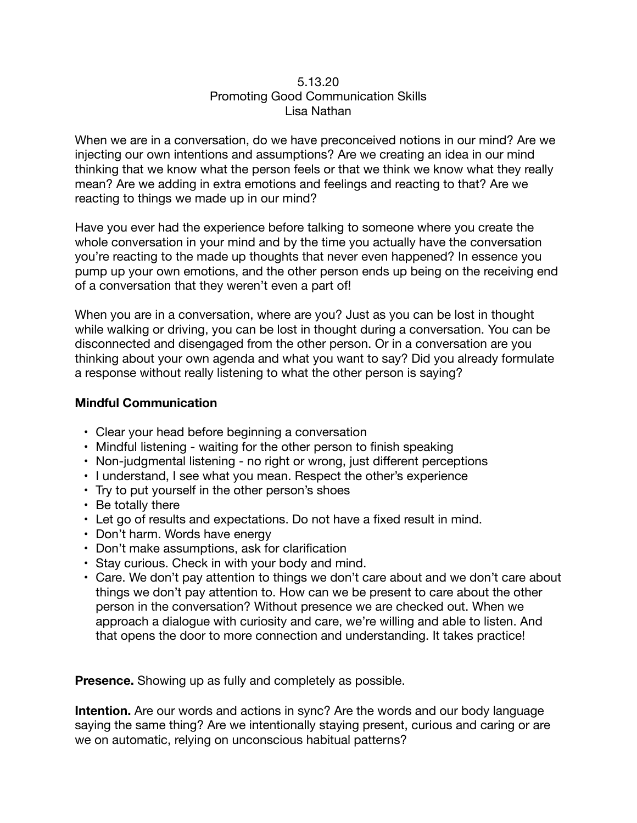## 5.13.20 Promoting Good Communication Skills Lisa Nathan

When we are in a conversation, do we have preconceived notions in our mind? Are we injecting our own intentions and assumptions? Are we creating an idea in our mind thinking that we know what the person feels or that we think we know what they really mean? Are we adding in extra emotions and feelings and reacting to that? Are we reacting to things we made up in our mind?

Have you ever had the experience before talking to someone where you create the whole conversation in your mind and by the time you actually have the conversation you're reacting to the made up thoughts that never even happened? In essence you pump up your own emotions, and the other person ends up being on the receiving end of a conversation that they weren't even a part of!

When you are in a conversation, where are you? Just as you can be lost in thought while walking or driving, you can be lost in thought during a conversation. You can be disconnected and disengaged from the other person. Or in a conversation are you thinking about your own agenda and what you want to say? Did you already formulate a response without really listening to what the other person is saying?

## **Mindful Communication**

- Clear your head before beginning a conversation
- Mindful listening waiting for the other person to finish speaking
- Non-judgmental listening no right or wrong, just different perceptions
- I understand, I see what you mean. Respect the other's experience
- Try to put yourself in the other person's shoes
- Be totally there
- Let go of results and expectations. Do not have a fixed result in mind.
- Don't harm. Words have energy
- Don't make assumptions, ask for clarification
- Stay curious. Check in with your body and mind.
- Care. We don't pay attention to things we don't care about and we don't care about things we don't pay attention to. How can we be present to care about the other person in the conversation? Without presence we are checked out. When we approach a dialogue with curiosity and care, we're willing and able to listen. And that opens the door to more connection and understanding. It takes practice!

**Presence.** Showing up as fully and completely as possible.

**Intention.** Are our words and actions in sync? Are the words and our body language saying the same thing? Are we intentionally staying present, curious and caring or are we on automatic, relying on unconscious habitual patterns?